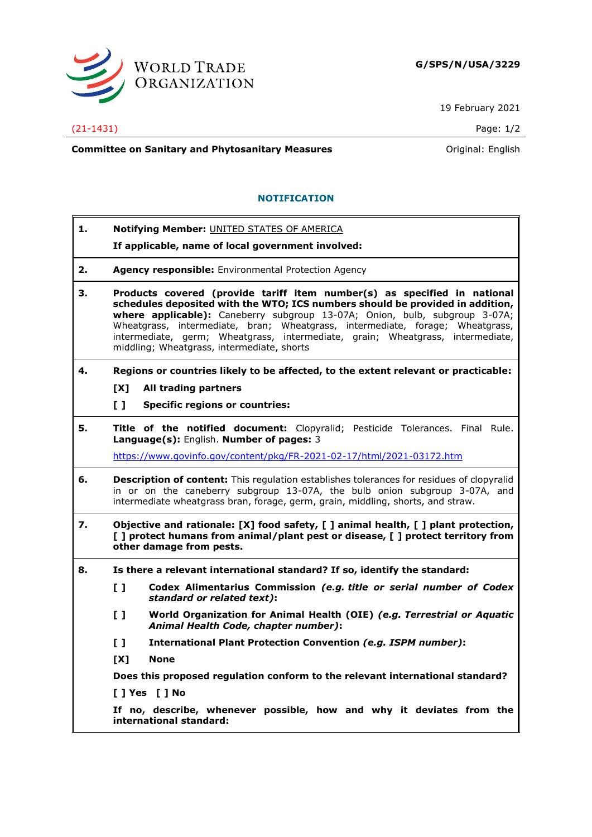

19 February 2021

## (21-1431) Page: 1/2

**Committee on Sanitary and Phytosanitary Measures Committee on Sanitary and Phytosanitary Measures Committee And American** 

## **NOTIFICATION**

**1. Notifying Member:** UNITED STATES OF AMERICA

**If applicable, name of local government involved:**

- **2. Agency responsible:** Environmental Protection Agency
- **3. Products covered (provide tariff item number(s) as specified in national schedules deposited with the WTO; ICS numbers should be provided in addition, where applicable):** Caneberry subgroup 13-07A; Onion, bulb, subgroup 3-07A; Wheatgrass, intermediate, bran; Wheatgrass, intermediate, forage; Wheatgrass, intermediate, germ; Wheatgrass, intermediate, grain; Wheatgrass, intermediate, middling; Wheatgrass, intermediate, shorts
- **4. Regions or countries likely to be affected, to the extent relevant or practicable:**
	- **[X] All trading partners**
	- **[ ] Specific regions or countries:**
- **5. Title of the notified document:** Clopyralid; Pesticide Tolerances. Final Rule. **Language(s):** English. **Number of pages:** 3

<https://www.govinfo.gov/content/pkg/FR-2021-02-17/html/2021-03172.htm>

- **6. Description of content:** This regulation establishes tolerances for residues of clopyralid in or on the caneberry subgroup 13-07A, the bulb onion subgroup 3-07A, and intermediate wheatgrass bran, forage, germ, grain, middling, shorts, and straw.
- **7. Objective and rationale: [X] food safety, [ ] animal health, [ ] plant protection, [ ] protect humans from animal/plant pest or disease, [ ] protect territory from other damage from pests.**
- **8. Is there a relevant international standard? If so, identify the standard:**
	- **[ ] Codex Alimentarius Commission** *(e.g. title or serial number of Codex standard or related text)***:**
	- **[ ] World Organization for Animal Health (OIE)** *(e.g. Terrestrial or Aquatic Animal Health Code, chapter number)***:**
	- **[ ] International Plant Protection Convention** *(e.g. ISPM number)***:**
	- **[X] None**

**Does this proposed regulation conform to the relevant international standard?** 

**[ ] Yes [ ] No**

**If no, describe, whenever possible, how and why it deviates from the international standard:**